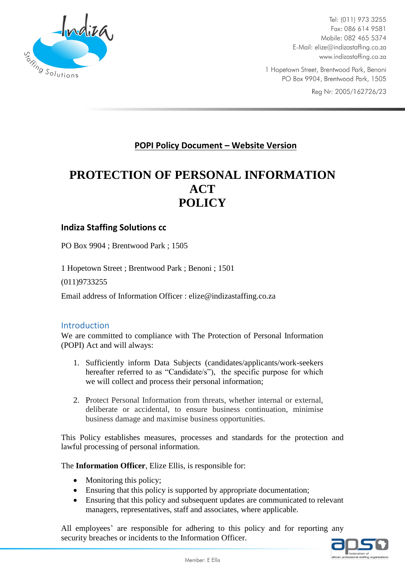

Tel: (011) 973 3255 Fax: 086 614 9581 Mobile: 082 465 5374 E-Mail: elize@indizastaffing.co.za www.indizastaffing.co.za

1 Hopetown Street, Brentwood Park, Benoni PO Box 9904, Brentwood Park, 1505

Reg Nr: 2005/162726/23

# **POPI Policy Document – Website Version**

# **PROTECTION OF PERSONAL INFORMATION ACT POLICY**

#### **Indiza Staffing Solutions cc**

PO Box 9904 ; Brentwood Park ; 1505

1 Hopetown Street ; Brentwood Park ; Benoni ; 1501

(011)9733255

Email address of Information Officer : elize@indizastaffing.co.za

#### Introduction

We are committed to compliance with The Protection of Personal Information (POPI) Act and will always:

- 1. Sufficiently inform Data Subjects (candidates/applicants/work-seekers hereafter referred to as "Candidate/s"), the specific purpose for which we will collect and process their personal information;
- 2. Protect Personal Information from threats, whether internal or external, deliberate or accidental, to ensure business continuation, minimise business damage and maximise business opportunities.

This Policy establishes measures, processes and standards for the protection and lawful processing of personal information.

The **Information Officer**, Elize Ellis, is responsible for:

- Monitoring this policy;
- Ensuring that this policy is supported by appropriate documentation;
- Ensuring that this policy and subsequent updates are communicated to relevant managers, representatives, staff and associates, where applicable.

All employees' are responsible for adhering to this policy and for reporting any security breaches or incidents to the Information Officer.

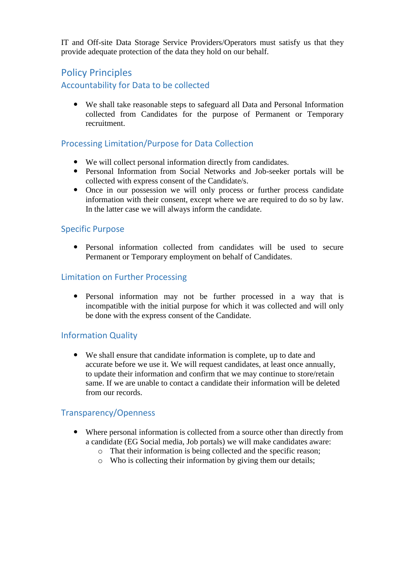IT and Off-site Data Storage Service Providers/Operators must satisfy us that they provide adequate protection of the data they hold on our behalf.

# Policy Principles Accountability for Data to be collected

 We shall take reasonable steps to safeguard all Data and Personal Information collected from Candidates for the purpose of Permanent or Temporary recruitment.

### Processing Limitation/Purpose for Data Collection

- We will collect personal information directly from candidates.
- Personal Information from Social Networks and Job-seeker portals will be collected with express consent of the Candidate/s.
- Once in our possession we will only process or further process candidate information with their consent, except where we are required to do so by law. In the latter case we will always inform the candidate.

#### Specific Purpose

 Personal information collected from candidates will be used to secure Permanent or Temporary employment on behalf of Candidates.

#### Limitation on Further Processing

 Personal information may not be further processed in a way that is incompatible with the initial purpose for which it was collected and will only be done with the express consent of the Candidate.

### Information Quality

 We shall ensure that candidate information is complete, up to date and accurate before we use it. We will request candidates, at least once annually, to update their information and confirm that we may continue to store/retain same. If we are unable to contact a candidate their information will be deleted from our records.

### Transparency/Openness

- Where personal information is collected from a source other than directly from a candidate (EG Social media, Job portals) we will make candidates aware:
	- o That their information is being collected and the specific reason;
	- o Who is collecting their information by giving them our details;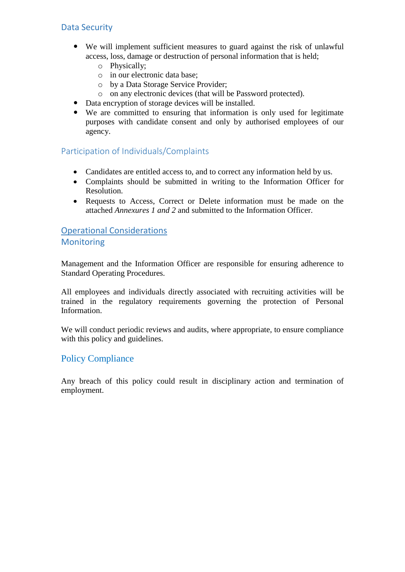### Data Security

- We will implement sufficient measures to guard against the risk of unlawful access, loss, damage or destruction of personal information that is held;
	- o Physically;
	- o in our electronic data base;
	- o by a Data Storage Service Provider;
	- o on any electronic devices (that will be Password protected).
- Data encryption of storage devices will be installed.
- We are committed to ensuring that information is only used for legitimate purposes with candidate consent and only by authorised employees of our agency.

### Participation of Individuals/Complaints

- Candidates are entitled access to, and to correct any information held by us.
- Complaints should be submitted in writing to the Information Officer for Resolution.
- Requests to Access, Correct or Delete information must be made on the attached *Annexures 1 and 2* and submitted to the Information Officer.

#### Operational Considerations **Monitoring**

#### Management and the Information Officer are responsible for ensuring adherence to Standard Operating Procedures.

All employees and individuals directly associated with recruiting activities will be trained in the regulatory requirements governing the protection of Personal Information.

We will conduct periodic reviews and audits, where appropriate, to ensure compliance with this policy and guidelines.

### Policy Compliance

Any breach of this policy could result in disciplinary action and termination of employment.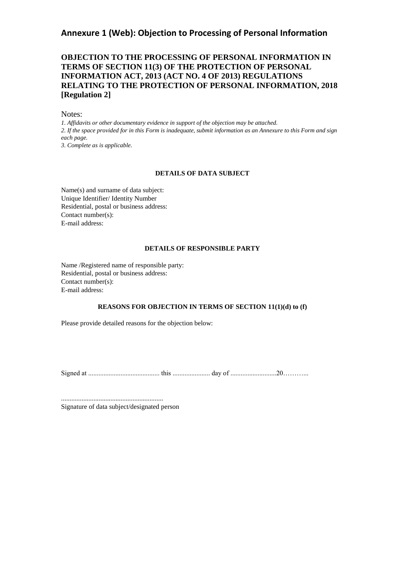#### **Annexure 1 (Web): Objection to Processing of Personal Information**

#### **OBJECTION TO THE PROCESSING OF PERSONAL INFORMATION IN TERMS OF SECTION 11(3) OF THE PROTECTION OF PERSONAL INFORMATION ACT, 2013 (ACT NO. 4 OF 2013) REGULATIONS RELATING TO THE PROTECTION OF PERSONAL INFORMATION, 2018 [Regulation 2]**

Notes:

*1. Affidavits or other documentary evidence in support of the objection may be attached. 2. If the space provided for in this Form is inadequate, submit information as an Annexure to this Form and sign each page. 3. Complete as is applicable.* 

#### **DETAILS OF DATA SUBJECT**

Name(s) and surname of data subject: Unique Identifier/ Identity Number Residential, postal or business address: Contact number(s): E-mail address:

#### **DETAILS OF RESPONSIBLE PARTY**

Name /Registered name of responsible party: Residential, postal or business address: Contact number(s): E-mail address:

#### **REASONS FOR OBJECTION IN TERMS OF SECTION 11(1)(d) to (f)**

Please provide detailed reasons for the objection below:

Signed at .......................................... this ...................... day of ...........................20………...

............................................................ Signature of data subject/designated person